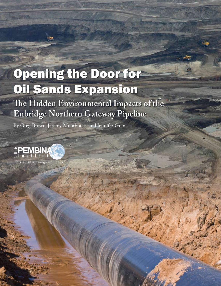# **Opening the Door for Oil Sands Expansion**

The Hidden Environmental Impacts of the **Enbridge Northern Gateway Pipeline** 

By Greg Brown, Jeremy Moorhouse, and Jennifer Grant



**Sustainable Energy Solutions**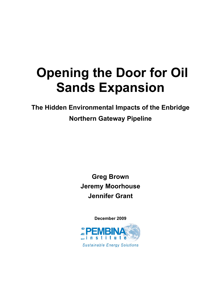## **Opening the Door for Oil Sands Expansion**

**The Hidden Environmental Impacts of the Enbridge Northern Gateway Pipeline**

> **Greg Brown Jeremy Moorhouse Jennifer Grant**

> > **December 2009**

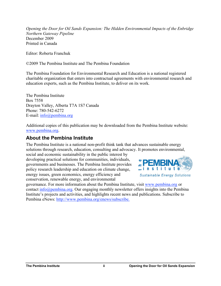*Opening the Door for Oil Sands Expansion: The Hidden Environmental Impacts of the Enbridge Northern Gateway Pipeline* December 2009 Printed in Canada

Editor: Roberta Franchuk

©2009 The Pembina Institute and The Pembina Foundation

The Pembina Foundation for Environmental Research and Education is a national registered charitable organization that enters into contractual agreements with environmental research and education experts, such as the Pembina Institute, to deliver on its work.

The Pembina Institute Box 7558 Drayton Valley, Alberta T7A 1S7 Canada Phone: 780-542-6272 E-mail: info@pembina.org

Additional copies of this publication may be downloaded from the Pembina Institute website: www.pembina.org.

#### **About the Pembina Institute**

The Pembina Institute is a national non-profit think tank that advances sustainable energy solutions through research, education, consulting and advocacy. It promotes environmental,

social and economic sustainability in the public interest by developing practical solutions for communities, individuals, governments and businesses. The Pembina Institute provides policy research leadership and education on climate change, energy issues, green economics, energy efficiency and conservation, renewable energy, and environmental



**Sustainable Energy Solutions** 

governance. For more information about the Pembina Institute, visit www.pembina.org or contact info@pembina.org. Our engaging monthly newsletter offers insights into the Pembina Institute's projects and activities, and highlights recent news and publications. Subscribe to Pembina eNews: http://www.pembina.org/enews/subscribe.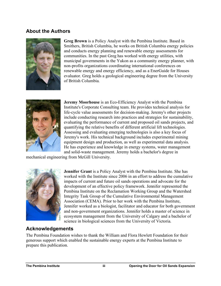#### **About the Authors**



**Greg Brown** is a Policy Analyst with the Pembina Institute. Based in Smithers, British Columbia, he works on British Columbia energy policies and conducts energy planning and renewable energy assessments for communities. In the past Greg has worked with energy utilities, with municipal governments in the Yukon as a community energy planner, with non-profits organizations coordinating international conferences on renewable energy and energy efficiency, and as a EnerGuide for Houses evaluator. Greg holds a geological engineering degree from the University of British Columbia.



**Jeremy Moorhouse** is an Eco-Efficiency Analyst with the Pembina Institute's Corporate Consulting team. He provides technical analysis for life-cycle value assessments for decision-making. Jeremy's other projects include conducting research into practices and strategies for sustainability, evaluating the performance of current and proposed oil sands projects, and quantifying the relative benefits of different artificial lift technologies. Assessing and evaluating emerging technologies is also a key focus of Jeremy's work. His technical background includes experimental mining equipment design and production, as well as experimental data analysis. He has experience and knowledge in energy systems, water management and solid-waste management. Jeremy holds a bachelor's degree in

mechanical engineering from McGill University.



**Jennifer Grant** is a Policy Analyst with the Pembina Institute. She has worked with the Institute since 2006 in an effort to address the cumulative impacts of current and future oil sands operations and advocate for the development of an effective policy framework. Jennifer represented the Pembina Institute on the Reclamation Working Group and the Watershed Integrity Task Group of the Cumulative Environmental Management Association (CEMA). Prior to her work with the Pembina Institute, Jennifer worked as a biologist, facilitator and educator for both government and non-government organizations. Jennifer holds a master of science in ecosystem management from the University of Calgary and a bachelor of science in biological sciences from the University of Victoria.

#### **Acknowledgements**

The Pembina Foundation wishes to thank the William and Flora Hewlett Foundation for their generous support which enabled the sustainable energy experts at the Pembina Institute to prepare this publication.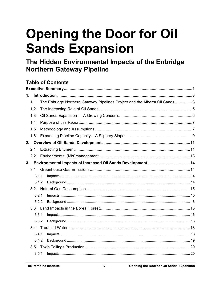# **Opening the Door for Oil Sands Expansion**

The Hidden Environmental Impacts of the Enbridge **Northern Gateway Pipeline** 

### **Table of Contents**

| $1_{-}$ |       |                                                                            |  |
|---------|-------|----------------------------------------------------------------------------|--|
|         | 1.1   | The Enbridge Northern Gateway Pipelines Project and the Alberta Oil Sands3 |  |
|         | 1.2   |                                                                            |  |
|         | 1.3   |                                                                            |  |
|         | 1.4   |                                                                            |  |
|         | 1.5   |                                                                            |  |
|         | 1.6   |                                                                            |  |
| 2.      |       |                                                                            |  |
|         | 2.1   |                                                                            |  |
|         | 2.2   |                                                                            |  |
|         |       |                                                                            |  |
|         | 3.1   |                                                                            |  |
|         | 3.1.1 |                                                                            |  |
|         | 3.1.2 |                                                                            |  |
|         | 3.2   |                                                                            |  |
|         | 3.2.1 |                                                                            |  |
|         | 3.2.2 |                                                                            |  |
|         | 3.3   |                                                                            |  |
|         | 3.3.1 |                                                                            |  |
|         | 3.3.2 |                                                                            |  |
|         |       |                                                                            |  |
|         | 3.4.1 |                                                                            |  |
|         | 3.4.2 |                                                                            |  |
|         | 3.5   |                                                                            |  |
|         | 3.5.1 |                                                                            |  |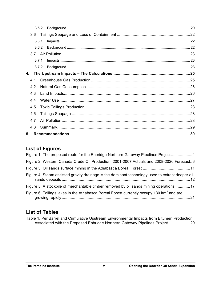|    | 3.5.2 |                                                                     |    |
|----|-------|---------------------------------------------------------------------|----|
|    | 3.6   |                                                                     |    |
|    | 3.6.1 |                                                                     |    |
|    | 3.6.2 |                                                                     |    |
|    | 3 Z   |                                                                     |    |
|    | 3.7.1 |                                                                     |    |
|    |       |                                                                     |    |
|    |       | 4. The Upstream Impacts – The Calculations……………………………………………………………25 |    |
|    | 4 1   |                                                                     |    |
|    | 4.2   |                                                                     |    |
|    | 4.3   |                                                                     |    |
|    | 4.4   |                                                                     |    |
|    | 4.5   |                                                                     |    |
|    | 4.6   |                                                                     |    |
|    | 4.7   |                                                                     |    |
|    | 4.8   |                                                                     |    |
| 5. |       |                                                                     | 30 |

### **List of Figures**

| Figure 1. The proposed route for the Enbridge Northern Gateway Pipelines Project4                    |
|------------------------------------------------------------------------------------------------------|
| Figure 2. Western Canada Crude Oil Production, 2001-2007 Actuals and 2008-2020 Forecast6             |
|                                                                                                      |
| Figure 4. Steam assisted gravity drainage is the dominant technology used to extract deeper oil      |
| Figure 5. A stockpile of merchantable timber removed by oil sands mining operations 17               |
| Figure 6. Tailings lakes in the Athabasca Boreal Forest currently occupy 130 km <sup>2</sup> and are |

### **List of Tables**

| Table 1. Per Barrel and Cumulative Upstream Environmental Impacts from Bitumen Production |  |
|-------------------------------------------------------------------------------------------|--|
| Associated with the Proposed Enbridge Northern Gateway Pipelines Project 29               |  |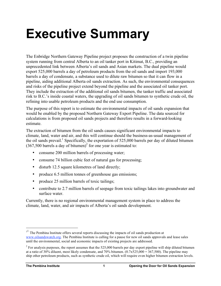# **Executive Summary**

The Enbridge Northern Gateway Pipeline project proposes the construction of a twin pipeline system running from central Alberta to an oil tanker port in Kitimat, B.C., providing an unprecedented link between Alberta's oil sands and Asian markets. The dual pipeline would export 525,000 barrels a day of petroleum products from the oil sands and import 193,000 barrels a day of condensate, a substance used to dilute raw bitumen so that it can flow in a pipeline, aiding additional Alberta oil sands extraction. As such, the environmental consequences and risks of the pipeline project extend beyond the pipeline and the associated oil tanker port. They include the extraction of the additional oil sands bitumen, the tanker traffic and associated risk to B.C.'s inside coastal waters, the upgrading of oil sands bitumen to synthetic crude oil, the refining into usable petroleum products and the end use consumption.

The purpose of this report is to estimate the environmental impacts of oil sands expansion that would be enabled by the proposed Northern Gateway Export Pipeline. The data sourced for calculations is from proposed oil sands projects and therefore results in a forward-looking estimate.

The extraction of bitumen from the oil sands causes significant environmental impacts to climate, land, water and air, and this will continue should the business-as-usual management of the oil sands prevail.<sup>1</sup> Specifically, the exportation of 525,000 barrels per day of diluted bitumen  $(367,500$  barrels a day of bitumen)<sup>2</sup> for one year is estimated to:

- consume 200 million barrels of processing water;
- consume 74 billion cubic feet of natural gas for processing;
- disturb 12.5 square kilometres of land directly;
- produce 6.5 million tonnes of greenhouse gas emissions;
- produce 25 million barrels of toxic tailings;
- contribute to 2.7 million barrels of seepage from toxic tailings lakes into groundwater and surface water.

Currently, there is no regional environmental management system in place to address the climate, land, water, and air impacts of Alberta's oil sands development.

 $11$  The Pembina Institute offers several reports discussing the impacts of oil sands production at www.oilsandswatch.org. The Pembina Institute is calling for a pause for new oil sands approvals and lease sales until the environmental, social and economic impacts of existing projects are addressed.

 $2^{2}$  For analysis purposes, the report assumes that the 525,000 barrels per day export pipeline will ship diluted bitumen at a ratio of 30% diluent, most likely condensate, and 70% bitumen.  $(0.7x525,000 = 367,500)$ . The pipeline may ship other petroleum products, such as synthetic crude oil, which will require even higher bitumen extraction levels.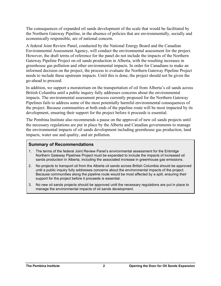The consequences of expanded oil sands development of the scale that would be facilitated by the Northern Gateway Pipeline, in the absence of policies that are environmentally, socially and economically responsible, are of national concern.

A federal Joint Review Panel, conducted by the National Energy Board and the Canadian Environmental Assessment Agency, will conduct the environmental assessment for the project. However, the draft terms of reference for the panel do not include the impacts of the Northern Gateway Pipeline Project on oil sands production in Alberta, with the resulting increases in greenhouse gas pollution and other environmental impacts. In order for Canadians to make an informed decision on the project, the process to evaluate the Northern Gateway Pipeline Project needs to include these upstream impacts. Until this is done, the project should not be given the go-ahead to proceed.

In addition, we support a moratorium on the transportation of oil from Alberta's oil sands across British Columbia until a public inquiry fully addresses concerns about the environmental impacts. The environmental assessment process currently proposed for the Northern Gateway Pipelines fails to address some of the most potentially harmful environmental consequences of the project. Because communities at both ends of the pipeline route will be most impacted by its development, ensuring their support for the project before it proceeds is essential.

The Pembina Institute also recommends a pause on the approval of new oil sands projects until the necessary regulations are put in place by the Alberta and Canadian governments to manage the environmental impacts of oil sands development including greenhouse gas production, land impacts, water use and quality, and air pollution.

#### **Summary of Recommendations**

- 1. The terms of the federal Joint Review Panel's environmental assessment for the Enbridge Northern Gateway Pipelines Project must be expanded to include the impacts of increased oil sands production in Alberta, including the associated increase in greenhouse gas emissions.
- 2. No projects to transport oil from the Alberta oil sands across British Columbia should be approved until a public inquiry fully addresses concerns about the environmental impacts of the project. Because communities along the pipeline route would be most affected by a spill, ensuring their support for the project before it proceeds is essential.
- 3. No new oil sands projects should be approved until the necessary regulations are put in place to manage the environmental impacts of oil sands development.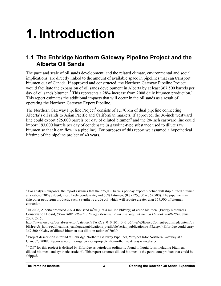# **1. Introduction**

### **1.1 The Enbridge Northern Gateway Pipeline Project and the Alberta Oil Sands**

The pace and scale of oil sands development, and the related climate, environmental and social implications, are directly linked to the amount of available space in pipelines that can transport bitumen out of Canada. If approved and constructed, the Northern Gateway Pipeline Project would facilitate the expansion of oil sands development in Alberta by at least 367,500 barrels per day of oil sands bitumen.<sup>3</sup> This represents a 28% increase from 2008 daily bitumen production.<sup>4</sup> This report estimates the additional impacts that will occur in the oil sands as a result of operating the Northern Gateway Export Pipeline.

The Northern Gateway Pipeline Project<sup>5</sup> consists of 1,170 km of dual pipeline connecting Alberta's oil sands to Asian Pacific and Californian markets. If approved, the 36-inch westward line could export 525,000 barrels per day of diluted bitumen $6$  and the 20-inch eastward line could import 193,000 barrels per day of condensate (a gasoline-type substance used to dilute raw bitumen so that it can flow in a pipeline). For purposes of this report we assumed a hypothetical lifetime of the pipeline project of 40 years.

<sup>&</sup>lt;sup>2</sup><br>3  $3$  For analysis purposes, the report assumes that the 525,000 barrels per day export pipeline will ship diluted bitumen at a ratio of 30% diluent, most likely condensate, and 70% bitumen.  $(0.7 \times 525,000 = 367,500)$ . The pipeline may ship other petroleum products, such a synthetic crude oil, which will require greater than 367,500 of bitumen extraction.

<sup>&</sup>lt;sup>4</sup> In 2008, Alberta produced 207.4 thousand  $m^3/d$  (1.304 million bbl/day) of crude bitumen. (Energy Resources Conservation Board, *ST98-2009: Alberta's Energy Reserves 2008 and Supply/Demand Outlook 2009-2018*, June 2009, 2-15,

http://www.ercb.ca/portal/server.pt/gateway/PTARGS\_0\_0\_201\_0\_0\_35/http%3B/ercbContent/publishedcontent/pu blish/ercb\_home/publications\_catalogue/publications\_available/serial\_publications/st98.aspx.) Enbridge could carry 367,500 bbl/day of diluted bitumen at a dilution ration of 70:30.

<sup>&</sup>lt;sup>5</sup> Project description is found at Enbridge Northern Gateway Pipelines, "Project Info: Northern Gateway at a Glance",. 2009, http://www.northerngateway.ca/project-info/northern-gateway-at-a-glance

 $6$  "Oil" for this project is defined by Enbridge as petroleum ordinarily found in liquid form including bitumen, diluted bitumen, and synthetic crude oil. This report assumes diluted bitumen is the petroleum product that could be shipped.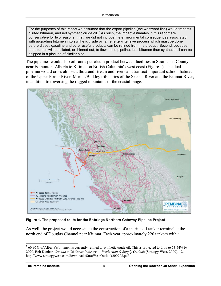For the purposes of this report we assumed that the export pipeline (the westward line) would transmit diluted bitumen, and not synthetic crude oil.<sup>7</sup> As such, the impact estimates in this report are conservative for two reasons. First, we did not include the environmental consequences associated with upgrading bitumen into synthetic crude oil; an energy-intensive process which must be done before diesel, gasoline and other useful products can be refined from the product. Second, because the bitumen will be diluted, or thinned out, to flow in the pipeline, less bitumen than synthetic oil can be shipped in a pipeline of similar size.

The pipelines would ship oil sands petroleum product between facilities in Strathcona County near Edmonton, Alberta to Kitimat on British Columbia's west coast (Figure 1). The dual pipeline would cross almost a thousand stream and rivers and transect important salmon habitat of the Upper Fraser River, Morice/Bulkley tributaries of the Skeena River and the Kitimat River, in addition to traversing the rugged mountains of the coastal range.



**Figure 1. The proposed route for the Enbridge Northern Gateway Pipeline Project**

As well, the project would necessitate the construction of a marine oil tanker terminal at the north end of Douglas Channel near Kitimat. Each year approximately 220 tankers with a

<sup>-&</sup>lt;br>7  $\frac{7}{10}$  60-65% of Alberta's bitumen is currently refined to synthetic crude oil. This is projected to drop to 53-54% by 2020. Bob Dunbar, *Canada's Oil Sands Industry — Production & Supply Outlook* (Strategy West, 2009), 12, http://www.strategywest.com/downloads/StratWestOutlook200908.pdf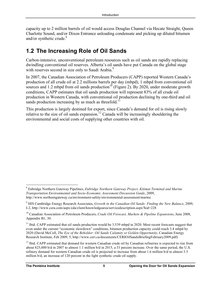capacity up to 2 million barrels of oil would access Douglas Channel via Hecate Straight, Queen Charlotte Sound, and/or Dixon Entrance unloading condensate and picking up diluted bitumen and/or synthetic crude.<sup>8</sup>

## **1.2 The Increasing Role of Oil Sands**

Carbon-intensive, unconventional petroleum resources such as oil sands are rapidly replacing dwindling conventional oil reserves. Alberta's oil sands have put Canada on the global stage with reserves second in size only to Saudi Arabia.<sup>9</sup>

In 2007, the Canadian Association of Petroleum Producers (CAPP) reported Western Canada's production of all crude oil at 2.2 millions barrels per day (mbpd), 1 mbpd from conventional oil sources and 1.2 mbpd from oil sands production<sup>10</sup> (Figure 2). By 2020, under moderate growth conditions, CAPP estimates that oil sands production will represent 83% of all crude oil production in Western Canada, with conventional oil production declining by one-third and oil sands production increasing by as much as threefold.<sup>11</sup>

This production is largely destined for export, since Canada's demand for oil is rising slowly relative to the size of oil sands expansion.<sup>12</sup> Canada will be increasingly shouldering the environmental and social costs of supplying other countries with oil.

 <sup>8</sup> Enbridge Northern Gateway Pipelines, *Enbridge Northern Gateway Project, Kitimat Terminal and Marine Transportation Environmental and Socio-Economic Assessment Discussion Guide*, 2009, http://www.northerngateway.ca/environment-safety/environmental-assessment/marine

<sup>9</sup> HIS Cambridge Energy Research Associates, *Growth in the Canadian Oil Sands: Finding the New Balance*, 2009, I-2, http://www.cera.com/aspx/cda/client/knowledgearea/servicedescription.aspx?kid=228

<sup>10</sup> Canadian Association of Petroleum Producers, *Crude Oil Forecast, Markets & Pipeline Expansions*, June 2008, Appendix B1, 30.

 $11$  Ibid. CAPP estimated that oil sands production would be 3.539 mbpd in 2020. Most recent forecasts suggest that even under the current "economic slowdown" conditions, bitumen production capacity could reach 3.4 mbpd by 2020 (David McColl, *The Eye of the Beholder: Oil Sands Calamity or Golden Opportunity*, Canadian Energy Research Institute, Feb 2009, 5, http://www.ceri.ca/documents/CERIOilSandsBriefingFebruary2009.pdf)

 $12$  Ibid. CAPP estimated that demand for western Canadian crude oil by Canadian refineries is expected to rise from about 825,000 b/d in 2007 to almost 1.1 million b/d in 2015, a 33 percent increase. Over the same period, the U.S. refinery demand for western Canadian crude oil is projected to increase from about 1.6 million b/d to almost 3.5 million b/d, an increase of 120 percent in the light synthetic crude oil supply.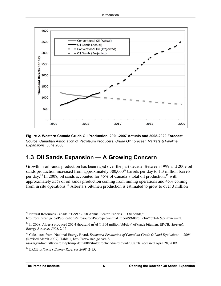

#### **Figure 2. Western Canada Crude Oil Production, 2001-2007 Actuals and 2008-2020 Forecast** Source: Canadian Association of Petroleum Producers, *Crude Oil Forecast, Markets & Pipeline*

*Expansions*, June 2008.

### **1.3 Oil Sands Expansion — A Growing Concern**

Growth in oil sands production has been rapid over the past decade. Between 1999 and 2009 oil sands production increased from approximately  $300,000^{13}$  barrels per day to 1.3 million barrels per day.<sup>14</sup> In 2008, oil sands accounted for  $45\%$  of Canada's total oil production,<sup>15</sup> with approximately 55% of oil sands production coming from mining operations and 45% coming from in situ operations.<sup>16</sup> Alberta's bitumen production is estimated to grow to over 3 million

 <sup>13</sup> Natural Resources Canada, "1999 / 2000 Annual Sector Reports — Oil Sands," http://oee.nrcan.gc.ca/Publications/infosource/Pub/cipec/annual\_report99-00/oil.cfm?text=N&printview=N.

<sup>&</sup>lt;sup>14</sup> In 2008, Alberta produced 207.4 thousand m<sup>3</sup>/d (1.304 million bbl/day) of crude bitumen. ERCB, *Alberta's Energy Reserves 2008*, 2-15.

<sup>15</sup> Calculated from: National Energy Board, *Estimated Production of Canadian Crude Oil and Equivalent — 2008* (Revised March 2009), Table 1, http://www.neb.gc.ca/clf-

nsi/rnrgynfmtn/sttstc/crdlndptrlmprdct/2008/stmtdprdctncndncrdlqvlnt2008.xls, accessed April 28, 2009.

<sup>16</sup> ERCB, *Alberta's Energy Reserves 2008,* 2-15.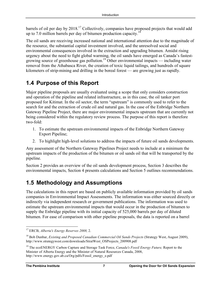barrels of oil per day by 2018.<sup>17</sup> Collectively, companies have proposed projects that would add up to 7.0 million barrels per day of bitumen production capacity.18

The oil sands are receiving increased national and international attention due to the magnitude of the resource, the substantial capital investment involved, and the unresolved social and environmental consequences involved in the extraction and upgrading bitumen. Amidst rising urgency about the need to fight global warming, the oil sands have emerged as Canada's fastestgrowing source of greenhouse gas pollution.<sup>19</sup> Other environmental impacts — including water removal from the Athabasca River, the creation of toxic liquid tailings, and hundreds of square kilometers of strip-mining and drilling in the boreal forest — are growing just as rapidly.

## **1.4 Purpose of this Report**

Major pipeline proposals are usually evaluated using a scope that only considers construction and operation of the pipeline and related infrastructure, as in this case, the oil tanker port proposed for Kitimat. In the oil sector, the term "upstream" is commonly used to refer to the search for and the extraction of crude oil and natural gas. In the case of the Enbridge Northern Gateway Pipeline Project, there are major environmental impacts upstream that are currently not being considered within the regulatory review process. The purpose of this report is therefore two-fold:

- 1. To estimate the upstream environmental impacts of the Enbridge Northern Gateway Export Pipeline;
- 2. To highlight high-level solutions to address the impacts of future oil sands developments.

Any assessment of the Northern Gateway Pipelines Project needs to include at a minimum the upstream impacts of the production of the bitumen or oil sands oil that will be transported by the pipeline.

Section 2 provides an overview of the oil sands development process, Section 3 describes the environmental impacts, Section 4 presents calculations and Section 5 outlines recommendations.

## **1.5 Methodology and Assumptions**

The calculations in this report are based on publicly available information provided by oil sands companies in Environmental Impact Assessments. The information was either sourced directly or indirectly via independent research or government publications. The information was used to estimate the upstream environmental impacts that would occur in the production of bitumen to supply the Enbridge pipeline with its initial capacity of 525,000 barrels per day of diluted bitumen. For ease of comparison with other pipeline proposals, the data is reported on a barrel

 <sup>17</sup> ERCB, *Alberta's Energy Reserves 2008,* 2.

<sup>18</sup> Bob Dunbar, *Existing and Proposed Canadian Commercial Oil Sands Projects* (Strategy West, August 2009), http://www.strategywest.com/downloads/StratWest\_OSProjects\_200908.pdf

<sup>19</sup> The ecoENERGY Carbon Capture and Storage Task Force, *Canada's Fossil Energy Future,* Report to the Minister of Alberta Energy and the Minister of Natural Resources Canada, 2008, http://www.energy.gov.ab.ca/Org/pdfs/Fossil\_energy\_e.pdf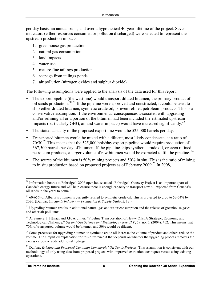per day basis, an annual basis, and over a hypothetical 40-year lifetime of the project. Seven indicators (either resources consumed or pollution discharged) were selected to represent the upstream production impacts:

- 1. greenhouse gas production
- 2. natural gas consumption
- 3. land impacts
- 4. water use
- 5. mature fine tailings production
- 6. seepage from tailings ponds
- 7. air pollution (nitrogen oxides and sulphur dioxide)

The following assumptions were applied to the analysis of the data used for this report.

- The export pipeline (the west line) would transport diluted bitumen, the primary product of oil sands production.<sup>20,21</sup> If the pipeline were approved and constructed, it could be used to ship either diluted bitumen, synthetic crude oil, or even refined petroleum products. This is a conservative assumption. If the environmental consequences associated with upgrading and/or refining all or a portion of the bitumen had been included the estimated upstream impacts (particularly GHG, air and water impacts) would have increased significantly.<sup>22</sup>
- The stated capacity of the proposed export line would be 525,000 barrels per day.
- Transported bitumen would be mixed with a diluent, most likely condensate, at a ratio of 70:30.<sup>23</sup> This means that the 525,000 bbls/day export pipeline would require production of 367,500 barrels per day of bitumen. If the pipeline ships synthetic crude oil, or even refined petroleum products, a larger volume of raw bitumen would be extracted to fill the pipeline.<sup>24</sup>
- The source of the bitumen is 50% mining projects and 50% in situ. This is the ratio of mining to in situ production based on proposed projects as of February 2009.<sup>25</sup> In 2008,

<sup>&</sup>lt;sup>20</sup> Information boards at Enbridge's 2006 open house stated "Enbridge's Gateway Project is an important part of Canada's energy future and will help ensure there is enough capacity to transport new oil expected from Canada's oil sands in the years to come."

 $21$  60-65% of Alberta's bitumen is currently refined to synthetic crude oil. This is projected to drop to 53-54% by 2020. (Dunbar, *Oil Sands Industry — Production & Supply Outlook*, 12.)

 $^{22}$  Upgrading bitumen results in additional natural gas and water consumption and the release of greenhouse gases and other air pollutants.

<sup>&</sup>lt;sup>23</sup> A. Saniere, I. Hénaut and J.F. Argillier, "Pipeline Transportation of Heavy Oils, A Strategic, Economic and Technological Challenge," *Oil and Gas Science and Technology - Rev. IFP*, 59, no. 5, (2004): 462. This means that 70% of transported volume would be bitumen and 30% would be diluent.

<sup>&</sup>lt;sup>24</sup> Some processes for upgrading bitumen to synthetic crude oil increase the volume of product and others reduce the volume. The simplified explanation for this difference it that depends on whether the upgrading process removes the excess carbon or adds additional hydrogen.

<sup>25</sup> Dunbar, *Existing and Proposed Canadian Commercial Oil Sands Projects*. This assumption is consistent with our methodology of only using data from proposed projects with improved extraction techniques versus using existing operations.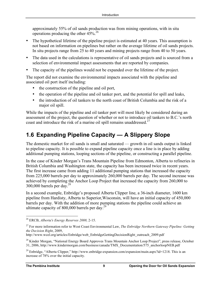approximately 55% of oil sands production was from mining operations, with in situ operations producing the other 45%. 26

- The hypothetical lifetime of the pipeline project is estimated at 40 years. This assumption is not based on information on pipelines but rather on the average lifetime of oil sands projects. In situ projects range from 25 to 40 years and mining projects range from 40 to 50 years.
- The data used in the calculations is representative of oil sands projects and is sourced from a selection of environmental impact assessments that are reported by companies.
- The capacity of the pipelines would not be expanded over the lifetime of the project.

The report did not examine the environmental impacts associated with the pipeline and associated oil port itself including:

- the construction of the pipeline and oil port,
- the operation of the pipeline and oil tanker port, and the potential for spill and leaks,
- the introduction of oil tankers to the north coast of British Columbia and the risk of a major oil spill.

While the impacts of the pipeline and oil tanker port will most likely be considered during an assessment of the project, the question of whether or not to introduce oil tankers to B.C.'s north coast and introduce the risk of a marine oil spill remains unaddressed.<sup>27</sup>

## **1.6 Expanding Pipeline Capacity — A Slippery Slope**

The domestic market for oil sands is small and saturated — growth in oil sands output is linked to pipeline capacity. It is possible to expand pipeline capacity once a line is in place by adding additional pumping stations, looping sections of the pipeline, or constructing a parallel pipeline.

In the case of Kinder Morgan's Trans Mountain Pipeline from Edmonton, Alberta to refineries in British Columbia and Washington state, the capacity has been increased twice in recent years. The first increase came from adding 11 additional pumping stations that increased the capacity from 225,000 barrels per day to approximately 260,000 barrels per day. The second increase was achieved by completing the Anchor Loop Project that increased the capacity from 260,000 to  $300,000$  barrels per day.<sup>28</sup>

In a second example, Enbridge's proposed Alberta Clipper line, a 36-inch diameter, 1600 km pipeline from Hardisty, Alberta to Superior,Wisconsin, will have an initial capacity of 450,000 barrels per day. With the addition of more pumping stations the pipeline could achieve an ultimate capacity of 800,000 barrels per day.<sup>29</sup>

 <sup>26</sup> ERCB, *Alberta's Energy Reserves 2008,* 2-15.

<sup>27</sup> For more information refer to West Coast Environmental Law, *The Enbridge Northern Gateway Pipeline: Getting the Decision Right*, 2009,

http://www.wcel.org/articles/Enbridge/web\_EnbridgeGettingDecisionRight\_outreach\_2009.pdf

<sup>&</sup>lt;sup>28</sup> Kinder Morgan, "National Energy Board Approves Trans Mountain Anchor Loop Project", press release, October 31, 2006, http://www.kindermorgan.com/business/canada/TMX\_Documentation/575\_anchorloopNEB.pdf

<sup>&</sup>lt;sup>29</sup> Enbridge, "Alberta Clipper," http://www.enbridge-expansion.com/expansion/main.aspx?id=1218. This is an increase of 78% over the initial capacity.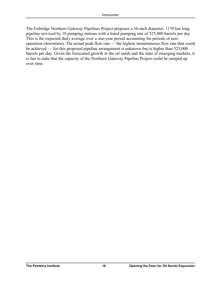The Enbridge Northern Gateway Pipelines Project proposes a 36-inch diameter, 1170 km long pipeline serviced by 10 pumping stations with a listed pumping rate of 525,000 barrels per day. This is the expected daily average over a one-year period accounting for periods of nonoperation (downtime). The actual peak flow rate — the highest instantaneous flow rate that could be achieved — for this proposed pipeline arrangement is unknown but is higher than 525,000 barrels per day. Given the forecasted growth in the oil sands and the state of emerging markets, it is fair to state that the capacity of the Northern Gateway Pipeline Project could be ramped up over time.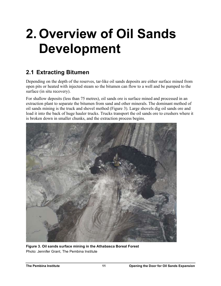# **2. Overview of Oil Sands Development**

## **2.1 Extracting Bitumen**

Depending on the depth of the reserves, tar-like oil sands deposits are either surface mined from open pits or heated with injected steam so the bitumen can flow to a well and be pumped to the surface (in situ recovery).

For shallow deposits (less than 75 metres), oil sands ore is surface mined and processed in an extraction plant to separate the bitumen from sand and other minerals. The dominant method of oil sands mining is the truck and shovel method (Figure 3). Large shovels dig oil sands ore and load it into the back of huge hauler trucks. Trucks transport the oil sands ore to crushers where it is broken down in smaller chunks, and the extraction process begins.



**Figure 3. Oil sands surface mining in the Athabasca Boreal Forest** Photo: Jennifer Grant, The Pembina Institute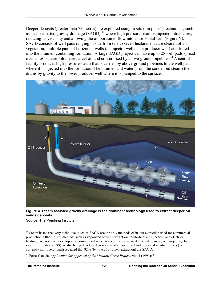Deeper deposits (greater than 75 metres) are exploited using in situ ("in place") techniques, such as steam assisted gravity drainage  $(SAGD)$ ,<sup>30</sup> where high pressure steam is injected into the ore, reducing its viscosity and allowing the oil portion to flow into a horizontal well (Figure X). SAGD consists of well pads ranging in size from one to seven hectares that are cleared of all vegetation; multiple pairs of horizontal wells (an injector well and a producer well) are drilled into the bitumen-containing formation. A large SAGD project can have up to 25 well pads spread over a 150-square-kilometre parcel of land crisscrossed by above-ground pipelines.<sup>31</sup> A central facility produces high-pressure steam that is carried by above-ground pipelines to the well pads where it is injected into the formation. The bitumen and water (from the condensed steam) then drains by gravity to the lower producer well where it is pumped to the surface.



**Figure 4. Steam assisted gravity drainage is the dominant technology used to extract deeper oil sands deposits**

Source: The Pembina Institute

<sup>&</sup>lt;sup>30</sup> Steam based recovery techniques such as SAGD are the only methods of in situ extraction used for commercial production. Other in situ methods such as vaporized solvent extraction, toe-to-heel air injection, and electrical heating have not been developed at commercial scale. A second steam-based thermal recovery technique, cyclic steam stimulation (CSS), is also being developed. A review of all approved and proposed in situ projects (i.e. currently non-operational) revealed that 92% (by rate of bitumen extraction) are SAGD.

<sup>31</sup> Petro-Canada, *Application for Approval of the Meadow Creek Project*, vol. 1 (1991): 3-4.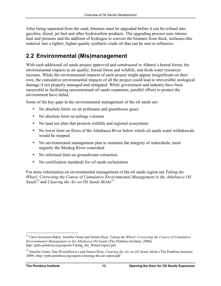After being separated from the sand, bitumen must be upgraded before it can be refined into gasoline, diesel, jet fuel and other hydrocarbon products. The upgrading process uses intense heat and pressure and the addition of hydrogen to convert the bitumen from thick, molasses-like material into a lighter, higher-quality synthetic crude oil that can be sent to refineries.

## **2.2 Environmental (Mis)management**

With each additional oil sands project approved and constructed in Alberta's boreal forest, the environmental impacts to air quality, boreal forest and wildlife, and fresh water resources increase. While the environmental impacts of each project might appear insignificant on their own, the cumulative environmental impacts of all the project could lead to irreversible ecological damage if not properly managed and mitigated. While government and industry have been successful in facilitating unconstrained oil sands expansion, parallel efforts to protect the environment have failed.

Some of the key gaps in the environmental management of the oil sands are:

- No absolute limits on air pollutants and greenhouse gases
- No absolute limit on tailings volumes
- No land use plan that protects wildlife and regional ecosystems
- No lower limit on flows of the Athabasca River below which oil sands water withdrawals would be stopped
- No environmental management plan to maintain the integrity of watersheds, most urgently the Muskeg River watershed
- No informed limit on groundwater extraction
- No certification standards for oil sands reclamation

For more information on environmental management of the oil sands region see *Taking the Wheel: Correcting the Course of Cumulative Environmental Management in the Athabasca Oil Sands*<sup>32</sup> and *Clearing the Air on Oil Sands Myths*<sup>33</sup>.

<sup>&</sup>lt;sup>32</sup> Chris Severson-Baker, Jennifer Grant and Simon Dyer, *Taking the Wheel: Correcting the Course of Cumulative Environmental Management in the Athabasca Oil Sands* (The Pembina Institute, 2008), http://pubs.pembina.org/reports/Taking\_the\_Wheel-report.pdf

<sup>33</sup> Jennifer Grant, Dan Woynillowicz and Simon Dyer, *Clearing the Air on Oil Sands Myths* (The Pembina Institute, 2009), http://pubs.pembina.org/reports/clearing-the-air-report.pdf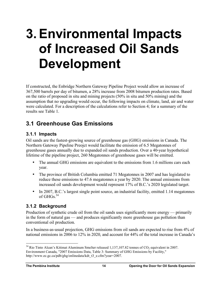## **3. Environmental Impacts of Increased Oil Sands Development**

If constructed, the Enbridge Northern Gateway Pipeline Project would allow an increase of 367,500 barrels per day of bitumen, a 28% increase from 2008 bitumen production rates. Based on the ratio of proposed in situ and mining projects (50% in situ and 50% mining) and the assumption that no upgrading would occur, the following impacts on climate, land, air and water were calculated. For a description of the calculations refer to Section 4; for a summary of the results see Table 1.

## **3.1 Greenhouse Gas Emissions**

#### **3.1.1 Impacts**

Oil sands are the fastest-growing source of greenhouse gas (GHG) emissions in Canada. The Northern Gateway Pipeline Preojct would facilitate the emission of 6.5 Megatonnes of greenhouse gases annually due to expanded oil sands production. Over a 40-year hypothetical lifetime of the pipeline project, 260 Megatonnes of greenhouse gases will be emitted.

- The annual GHG emissions are equivalent to the emissions from 1.6 millions cars each year.
- The province of British Columbia emitted 71 Megatonnes in 2007 and has legislated to reduce these emissions to 47.6 megatonnes a year by 2020. The annual emissions from increased oil sands development would represent 17% of B.C.'s 2020 legislated target.
- In 2007, B.C.'s largest single point source, an industrial facility, emitted 1.14 megatonnes of GHGs $^{34}$

#### **3.1.2 Background**

Production of synthetic crude oil from the oil sands uses significantly more energy — primarily in the form of natural gas — and produces significantly more greenhouse gas pollution than conventional oil production.

In a business-as-usual projection, GHG emissions from oil sands are expected to rise from 4% of national emissions in 2006 to 12% in 2020, and account for 44% of the total increase in Canada's

 $34$  Rio Tinto Alcan's Kitimat Aluminum Smelter released 1,137,107.82 tonnes of CO<sub>2</sub> equivalent in 2007. Environment Canada, "2007 Emissions Data, Table 3: Summary of GHG Emissions by Facility," http://www.ec.gc.ca/pdb/ghg/onlinedata/kdt\_t3\_e.cfm?year=2007.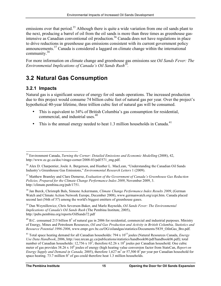emissions over that period.<sup>35</sup> Although there is quite a wide variation from one oil sands plant to the next, producing a barrel of oil from the oil sands is more than three times as greenhouse gasintensive as Canadian conventional oil production.<sup>36</sup> Canada does not have regulations in place to drive reductions in greenhouse gas emissions consistent with its current government policy announcements.37 Canada is considered a laggard on climate change within the international community.38

For more information on climate change and greenhouse gas emissions see *Oil Sands Fever: The Environmental Implications of Canada's Oil Sands Rush39.* 

## **3.2 Natural Gas Consumption**

#### **3.2.1 Impacts**

Natural gas is a significant source of energy for oil sands operations. The increased production due to this project would consume 74 billion cubic feet of natural gas per year. Over the project's hypothetical 40-year lifetime, three trillion cubic feet of natural gas will be consumed.

- This is equivalent to 34% of British Columbia's gas consumption for residential, commercial, and industrial uses.<sup>40</sup>
- This is the annual energy needed to heat 1.3 million households in Canada.<sup>41</sup>

38 Jan Burck, Christoph Bals, Simone Ackermann, *Climate Change Performance Index Results 2009*, (German Watch and Climate Action Network Europe, December 2008), www.germanwatch.org/ccpi.htm. Canada placed second last (56th of 57) among the world's biggest emitters of greenhouse gases.

39 Dan Woynillowicz, Chris Severson-Baker, and Marlo Raynolds, *Oil Sands Fever: The Environmental Implications of Canada's Oil Sands Rush* (The Pembina Institute, 2005), http://pubs.pembina.org/reports/OilSands72.pdf

 $^{40}$  B.C. consumed 215 billion ft<sup>3</sup> of natural gas in 2006 for residential, commercial and industrial purposes. Ministry of Energy, Mines and Petroleum Resources, *Oil and Gas Production and Activity in British Columbia, Statistics and Resource Potential 1996-2006*, www.empr.gov.bc.ca/OG/oilandgas/statistics/Documents/5839\_OilnGas\_Bro.pdf.

<sup>41</sup> Total space heating demand for all Canadian households: 794 x 10<sup>15</sup> joules (Natural Resources Canada, *Energy Use Data Handbook*, 2006, http://oee.nrcan.gc.ca/publications/statistics/handbook06/pdf/handbook06.pdf); total number of Canadian households:  $12,756 \times 10^3$ ; therefore  $62.26 \times 10^9$  joules per Canadian household. One cubic meter of gas provides 38.26 x 10<sup>6</sup> joules of energy (high heating value conversion factor from StatsCan, *Report on Energy Supply and Demand in Canada, 2005*), therefore 1,627 m<sup>3</sup> or 57,500 ft<sup>3</sup> per year per Canadian household for space heating.  $73.7$  million  $ft^3$  of gas could therefore heat 1.3 million households.

 <sup>35</sup> Environment Canada, *Turning the Corner: Detailed Emissions and Economic Modelling* (2008), 42, http://www.ec.gc.ca/doc/virage-corner/2008-03/pdf/571\_eng.pdf.

<sup>&</sup>lt;sup>36</sup> Alex D. Charpentier, Joule A. Bergerson, and Heather L. MacLean, "Understanding the Canadian Oil Sands Industry's Greenhouse Gas Emissions," *Environmental Research Letters* 1 (2009).

<sup>37</sup> Matthew Bramley and Clare Demerse, *Evaluation of the Government of Canada's Greenhouse Gas Reduction Policies, Prepared for the Climate Change Performance Index 2009*, November 2009, 3. http://climate.pembina.org/pub/1751.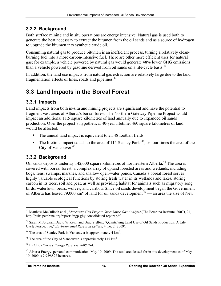#### **3.2.2 Background**

Both surface mining and in situ operations are energy intensive. Natural gas is used both to generate the heat necessary to extract the bitumen from the oil sands and as a source of hydrogen to upgrade the bitumen into synthetic crude oil.

Consuming natural gas to produce bitumen is an inefficient process, turning a relatively cleanburning fuel into a more carbon-intensive fuel. There are other more efficient uses for natural gas; for example, a vehicle powered by natural gas would generate 48% lower GHG emissions than a vehicle powered by gasoline derived from oil sands on a life-cycle basis.<sup>42</sup>

In addition, the land use impacts from natural gas extraction are relatively large due to the land fragmentation effects of lines, roads and pipelines.<sup>43</sup>

## **3.3 Land Impacts in the Boreal Forest**

#### **3.3.1 Impacts**

Land impacts from both in-situ and mining projects are significant and have the potential to fragment vast areas of Alberta's boreal forest. The Northern Gateway Pipeline Project would impact an additional 11.5 square kilometres of land annually due to expanded oil sands production. Over the project's hypothetical 40-year lifetime, 460 square kilometres of land would be affected.

- The annual land impact is equivalent to 2,148 football fields.
- The lifetime impact equals to the area of 115 Stanley Parks<sup>44</sup>, or four times the area of the City of Vancouver.45

#### **3.3.2 Background**

Oil sands deposits underlay 142,000 square kilometres of northeastern Alberta.<sup>46</sup> The area is covered with boreal forest, a complex array of upland forested areas and wetlands, including bogs, fens, swamps, marshes, and shallow open-water ponds. Canada's boreal forest serves highly valuable ecological functions by storing fresh water in its wetlands and lakes, storing carbon in its trees, soil and peat, as well as providing habitat for animals such as migratory song birds, waterfowl, bears, wolves, and caribou. Since oil sands development began the Government of Alberta has leased 79,000 km<sup>2</sup> of land for oil sands development  $47$ — an area the size of New

 <sup>42</sup> Matthew McCulloch et al., *Mackenzie Gas Project Greenhouse Gas Analysis* (The Pembina Institute, 2007), 24, http://pubs.pembina.org/reports/mgp-ghg-consolidated-report.pdf

<sup>&</sup>lt;sup>43</sup> Sarah M Jordaan, David W Keith and Brad Stelfox, "Quantifying Land Use of Oil Sands Production: A Life Cycle Perspective," *Environmental Research Letters,* 4, no. 2 (2009).

 $44$  The area of Stanley Park in Vancouver is approximately 4 km<sup>2</sup>.

<sup>&</sup>lt;sup>45</sup> The area of the City of Vancouver is approximately 115 km<sup>2</sup>.

<sup>46</sup> ERCB, *Alberta's Energy Reserves 2008,* 2-4.

 $47$  Alberta Energy, personal communication, May 19, 2009. The total area leased for in situ development as of May 19, 2009 is 7,929,827 hectares.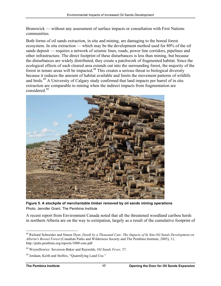Brunswick — without any assessment of surface impacts or consultation with First Nations communities.

Both forms of oil sands extraction, in situ and mining, are damaging to the boreal forest ecosystem. In situ extraction — which may be the development method used for 80% of the oil sands deposit — requires a network of seismic lines, roads, power line corridors, pipelines and other infrastructure. The direct footprint of these disturbances is less than mining, but because the disturbances are widely distributed, they create a patchwork of fragmented habitat. Since the ecological effects of each cleared area extends out into the surrounding forest, the majority of the forest in tenure areas will be impacted.<sup>48</sup> This creates a serious threat to biological diversity because it reduces the amount of habitat available and limits the movement patterns of wildlife and birds.<sup>49</sup> A University of Calgary study confirmed that land impacts per barrel of in situ extraction are comparable to mining when the indirect impacts from fragmentation are considered.<sup>50</sup>



**Figure 5. A stockpile of merchantable timber removed by oil sands mining operations** Photo: Jennifer Grant, The Pembina Institute

A recent report from Environment Canada noted that all the threatened woodland caribou herds in northern Alberta are on the way to extirpation, largely as a result of the cumulative footprint of

 <sup>48</sup> Richard Schneider and Simon Dyer, *Death by a Thousand Cuts: The Impacts of In Situ Oil Sands Development on Alberta's Boreal Forest* (Canadian Parks and Wilderness Society and The Pembina Institute, 2005), 11, http://pubs.pembina.org/reports/1000-cuts.pdf

<sup>49</sup> Woynillowicz Severson-Baker and Raynolds, *Oil Sands Fever,* 37.

<sup>50</sup> Jordaan, Keith and Stelfox, "Quantifying Land Use."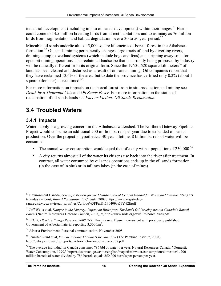industrial development (including in-situ oil sands development) within their ranges.<sup>51</sup> Harm could come to 14.5 million breeding birds from direct habitat loss and to as many as 76 million birds from fragmentation and habitat degradation over a 30 to 50 year period.<sup>52</sup>

Mineable oil sands underlie almost 5,000 square kilometres of boreal forest in the Athabasca formation.<sup>53</sup> Oil sands mining permanently changes large tracts of land by diverting rivers, draining complex wetland systems (which include bogs and fens) and stripping away soils for open pit mining operations. The reclaimed landscape that is currently being proposed by industry will be radically different from its original form. Since the 1960s, 520 square kilometers<sup>54</sup> of land has been cleared and disturbed as a result of oil sands mining. Oil companies report that they have reclaimed 13.6% of the area, but to date the province has certified only 0.2% (about 1 square kilometer) as reclaimed.<sup>55</sup>

For more information on impacts on the boreal forest from in situ production and mining see *Death by a Thousand Cuts* and *Oil Sands Fever*. For more information on the status of reclamation of oil sands lands see *Fact or Fiction: Oil Sands Reclamation*.

## **3.4 Troubled Waters**

#### **3.4.1 Impacts**

Water supply is a growing concern in the Athabasca watershed. The Northern Gateway Pipeline Project would consume an additional 200 million barrels per year due to expanded oil sands production. Over the project's hypothetical 40-year lifetime, 8 billion barrels of water will be consumed.

- The annual water consumption would equal that of a city with a population of  $250,000^{56}$
- A city returns almost all of the water its citizens use back into the river after treatment. In contrast, all water consumed by oil sands operations ends up in the oil sands formation (in the case of in situ) or in tailings lakes (in the case of mines).

 <sup>51</sup> Environment Canada, *Scientific Review for the Identification of Critical Habitat for Woodland Caribou (*Rangifer tarandus caribou*), Boreal Population, in Canada,* 2008, https://www.registrelepsararegistry.gc.ca/virtual\_sara/files/Caribou%5FFull%5F0409%5Fe%2Epdf

<sup>52</sup> Jeff Wells et al, *Danger in the Nursery: Impact on Birds from Tar Sands Oil Development in Canada's Boreal Forest* (Natural Resources Defense Council, 2008), v, http://www.nrdc.org/wildlife/borealbirds.pdf

<sup>53</sup>ERCB, *Alberta's Energy Reserves 2008,* 2-7. This is a new figure inconsistent with previously published Government of Alberta material reporting  $3,500 \text{ km}^2$ .

<sup>54</sup> Alberta Environment, Personal communication, November 2008.

<sup>55</sup> Jennifer Grant et al, *Fact or Fiction: Oil Sands Reclamation* (The Pembina Institute, 2008), http://pubs.pembina.org/reports/fact-or-fiction-report-rev-dec08.pdf

<sup>56</sup> The average individual in Canada consumes 786 bbl of water per year. Natural Resources Canada, "Domestic Water Consumption, 1999," http://atlas.nrcan.gc.ca/site/english/maps/freshwater/consumption/domestic/1. 200 million barrels of water divided by 786 barrels equals 250,000 barrels per person per year.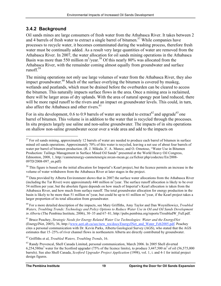#### **3.4.2 Background**

Oil sands mines are large consumers of fresh water from the Athabasca River. It takes between 2 and 4 barrels of fresh water to extract a single barrel of bitumen. 57 While companies have processes to recycle water, it becomes contaminated during the washing process, therefore fresh water must be continually added. As a result very large quantities of water are removed from the Athabasca River. In 2007, the water allocation for oil sands mining operations in the Athabasca Basin was more than 550 million  $m^3$ /year.<sup>58</sup> Of this nearly 80% was allocated from the Athabasca River, with the remainder coming almost equally from groundwater and surface runoff<sup>59</sup>

The mining operations not only use large volumes of water from the Athabasca River, they also impact groundwater. $^{60}$  Much of the surface overlying the bitumen is covered by muskeg, wetlands and peatlands, which must be drained before the overburden can be cleared to access the bitumen. This naturally impacts surface flows in the area. Once a mining area is reclaimed, there will be larger areas of dry uplands. With the area of natural spongy peat land reduced, there will be more rapid runoff to the rivers and an impact on groundwater levels. This could, in turn, also affect the Athabasca and other rivers.<sup>61</sup>

For in situ development, 0.6 to 0.9 barrels of water are needed to extract<sup>62</sup> and upgrade<sup>63</sup> one barrel of bitumen. This volume is in addition to the water that is recycled through the processes. In situ projects largely use saline and non-saline groundwater. The impacts of in situ operations on shallow non-saline groundwater occur over a wide area and add to the impacts on

<sup>59</sup> Data provided by Alberta Environment shows that in 2007 the surface water allocations from the Athabasca River (including the Tar River) were approximately 440 million  $m^3$ /year. The surface runoff allocation is likely to be over 54 million per year, but the absolute figure depends on how much of Imperial's Kearl allocation is taken from the Athabasca River, and how much from surface runoff. The total groundwater allocation for energy production in the basin is likely to be more than 51 million  $m^3$ /year, but could be up to 61 million  $m^3$ /year, if the Kearl project takes a larger proportion of its total allocation from groundwater.

60 For a more detailed description of the impacts, see Mary Griffiths, Amy Taylor and Dan Woynillowicz, *Troubled Waters, Troubling Trends: Technology and Policy Options to Reduce Water Use in Oil and Oil Sands Development in Alberta* (The Pembina Institute, 2006), 30–35 and 67–81, http://pubs.pembina.org/reports/TroubledW\_Full.pdf.

61 Bruce Peachey, *Strategic Needs for Energy Related Water Use Technologies: Water and the EnergyINet*  (EnergyINet, 2005), 36, http://www.aeri.ab.ca/sec/new\_res/docs/EnergyINet\_and\_Water\_Feb2005.pdf. Peachey cites a personal communication with Dr. Kevin Parks, Alberta Geological Survey (AGS), who stated that the AGS estimates that 15–25% of river channel flows in northeastern Alberta are directly contributed by groundwater.

62 Griffiths et al, *Troubled Waters, Troubling Trends*, 16.

 $57$  For oil sands mining, approximately 12 barrels of water are needed to produce each barrel of bitumen in surface mined oil sands operations. Approximately 70% of this water is recycled, leaving a net use of about four barrels of water per barrel of bitumen production. (R. J. Mikula ,V. A. Munoz, and O. Omotoso, "Water Use in Bitumen Production: Tailings Management in Surface Mined Oil Sands" presented at the World Heavy Oil Congress, Edmonton, 2008, 1, http://canmetenergy-canmetenergie.nrcan-rncan.gc.ca/fichier.php/codectec/En/2008- 097D/2008-097\_en.pdf)

<sup>&</sup>lt;sup>58</sup> This figure is based on the initial allocation for Imperial's Kearl project, but the licence permits an increase in the volume of water withdrawn from the Athabasca River at later stages in the project.

<sup>&</sup>lt;sup>63</sup> Randy Provencal, Shell Canada Limited, personal communication, March 2006. In 2005 Shell diverted  $6,254,580m<sup>3</sup>$  water for the Scotford upgrader (75% of the licence limits), to produce 3,447,500 m<sup>3</sup> of oil (56,575,000 barrels). See also Shell Canada, *Scotford Upgrader Project Application* (1998), vol. 1, i. and 4-1 for initial project design figures.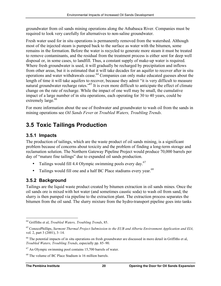groundwater from oil sands mining operations along the Athabasca River. Companies must be required to look very carefully for alternatives to non-saline groundwater.

Fresh water used for in situ operations is permanently removed from the watershed. Although most of the injected steam is pumped back to the surface as water with the bitumen, some remains in the formation. Before the water is recycled to generate more steam it must be treated to remove contaminants, and the residual from the treatment process is either sent for deep well disposal or, in some cases, to landfill. Thus, a constant supply of make-up water is required. Where fresh groundwater is used, it will gradually be recharged by precipitation and inflows from other areas, but it is estimated that it will take decades for an aquifer to recover after in situ operations and water withdrawals cease.<sup> $64$ </sup> Companies can only make educated guesses about the length of time it will take aquifers to recover, because they admit "it is very difficult to measure natural groundwater recharge rates."65 It is even more difficult to anticipate the effect of climate change on the rate of recharge. While the impact of one well may be small, the cumulative impact of a large number of in situ operations, each operating for 30 to 40 years, could be extremely large.<sup>66</sup>

For more information about the use of freshwater and groundwater to wash oil from the sands in mining operations see *Oil Sands Fever* or *Troubled Waters, Troubling Trends*.

## **3.5 Toxic Tailings Production**

#### **3.5.1 Impacts**

The production of tailings, which are the waste product of oil sands mining, is a significant problem because of concerns about toxicity and the problem of finding a long-term storage and reclamation solution. The Northern Gateway Pipeline Project would produce 70,000 barrels per day of "mature fine tailings" due to expanded oil sands production.

- Tailings would fill 4.4 Olympic swimming pools every day. $67$
- Tailings would fill one and a half BC Place stadiums every year.<sup>68</sup>

#### **3.5.2 Background**

Tailings are the liquid waste product created by bitumen extraction in oil sands mines. Once the oil sands ore is mixed with hot water (and sometimes caustic soda) to wash oil from sand, the slurry is then pumped via pipeline to the extraction plant. The extraction process separates the bitumen from the oil sand. The slurry mixture from the hydro-transport pipeline goes into tanks

 <sup>64</sup> Griffiths et al, *Troubled Waters, Troubling Trends*, 85.

<sup>65</sup> ConocoPhillips, *Surmont Thermal Project Submission to the EUB and Alberta Environment Application and EIA,*  vol. 2, part 3 (2001), 3–14.

<sup>&</sup>lt;sup>66</sup> The potential impacts of in situ operations on fresh groundwater are discussed in more detail in Griffiths et al, *Troubled Waters, Troubling Trends*, especially pp. 85–90.

 $67$  An Olympic swimming pool contains 15,700 barrels of water.

<sup>68</sup> The volume of BC Place Stadium is 16 million barrels.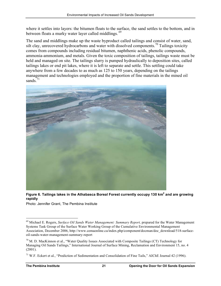where it settles into layers: the bitumen floats to the surface, the sand settles to the bottom, and in between floats a murky water layer called middlings.<sup>69</sup>

The sand and middlings make up the waste byproduct called tailings and consist of water, sand, silt clay, unrecovered hydrocarbons and water with dissolved components.<sup>70</sup> Tailings toxicity comes from compounds including residual bitumen, naphthenic acids, phenolic compounds, ammonia-ammonium, and metals. Given the toxic composition of tailings, tailings waste must be held and managed on site. The tailings slurry is pumped hydraulically to deposition sites, called tailings lakes or end pit lakes, where it is left to separate and settle. This settling could take anywhere from a few decades to as much as 125 to 150 years, depending on the tailings management and technologies employed and the proportion of fine materials in the mined oil sands. $71$ 



Figure 6. Tailings lakes in the Athabasca Boreal Forest currently occupy 130 km<sup>2</sup> and are growing **rapidly**

Photo: Jennifer Grant, The Pembina Institute

 <sup>69</sup> Michael E. Rogers, *Surface Oil Sands Water Management: Summary Report,* prepared for the Water Management Systems Task Group of the Surface Water Working Group of the Cumulative Environmental Management Association, December 2006, http://www.cemaonline.ca/index.php/component/docman/doc\_download/518-surfaceoil-sands-water-management-summary-report

 $70$  M. D. MacKinnon et al., "Water Quality Issues Associated with Composite Tailings (CT) Technology for Managing Oil Sands Tailings," International Journal of Surface Mining, Reclamation and Environment 15, no. 4 (2001).

<sup>71</sup> W.F. Eckert et al., "Prediction of Sedimentation and Consolidation of Fine Tails," AIChE Journal 42 (1996).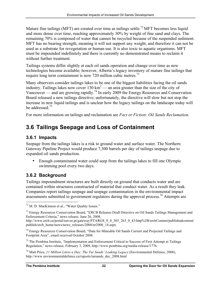Mature fine tailings (MFT) are created over time as tailings settle.<sup>72</sup> MFT becomes less liquid and more dense over time, reaching approximately 30% by weight of fine sand and clays. The remaining 70% is composed of water that cannot be recycled because of the suspended sediment. MFT has no bearing strength, meaning it will not support any weight, and therefore it can not be used as a substrate for revegetation or human use. It is also toxic to aquatic organisms. MFT must be impounded indefinitely and there is currently no demonstrated means to reclaim it without further treatment.

Tailings systems differ slightly at each oil sands operation and change over time as new technologies become available; however, Alberta's legacy inventory of mature fine tailings that require long term containment is now 720 million cubic metres.<sup>73</sup>

Many observers consider tailings lakes to be one of the biggest liabilities facing the oil sands industry. Tailings lakes now cover  $130 \text{ km}^2$  — an area greater than the size of the city of Vancouver — and are growing rapidly.<sup>74</sup> In early 2009 the Energy Resources and Conservation Board released a new tailings directive; unfortunately, the directive will slow but not stop the increase in new liquid tailings and is unclear how the legacy tailings on the landscape today will be addressed.<sup>75</sup>

For more information on tailings and reclamation see *Fact or Fiction: Oil Sands Reclamation.*

## **3.6 Tailings Seepage and Loss of Containment**

#### **3.6.1 Impacts**

Seepage from the tailings lakes is a risk to ground water and surface water. The Northern Gateway Pipeline Project would produce 7,300 barrels per day of tailings seepage due to expanded oil sands production.

• Enough contaminated water could seep from the tailings lakes to fill one Olympic swimming pool every two days.

### **3.6.2 Background**

Tailings impoundment structures are built directly on ground that conducts water and are contained within structures constructed of material that conduct water. As a result they leak. Companies report tailings seepage and seepage contamination in the environmental impact assessments submitted to government regulators during the approval process.<sup>76</sup> Attempts are

 <sup>72</sup> M. D. MacKinnon et al., "Water Quality Issues."

<sup>&</sup>lt;sup>73</sup> Energy Resources Conservation Board, "ERCB Releases Draft Directive on Oil Sands Tailings Management and Enforcement Criteria," news release, June 26, 2008,

http://www.ercb.ca/portal/server.pt/gateway/PTARGS\_0\_0\_303\_263\_0\_43/http%3B/ercbContent/publishedcontent/ publish/ercb\_home/news/news\_releases/2008/nr2008\_14.aspx

<sup>74</sup> Energy Resources Conservation Board, "Data for Mineable Oil Sands Current and Projected Tailings and Footprint Area", email received October 2008.

 $<sup>75</sup>$  The Pembina Institute, "Implementation and Enforcement Critical to Success of First Attempt at Tailings</sup> Regulation," news release, February 3, 2009, http://www.pembina.org/media-release/1776

<sup>76</sup> Matt Price, *11 Million Litres a Day: The Tar Sands' Leaking Legacy* (Environmental Defence, 2008), http://www.environmentaldefence.ca/reports/tarsands\_dec\_2008.html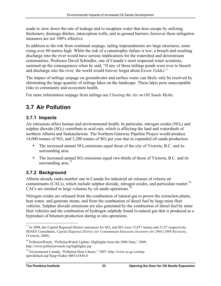made to slow down the rate of leakage and to recapture water that does escape by utilizing thickeners, drainage ditches, interception wells, and in-ground barriers; however these mitigation measures are not 100% effective.

In addition to the risk from continual seepage, tailing impoundments are large structures, some rising over 80 metres high. While the risk of a catastrophic failure is low, a breach and resulting discharge into the river would have serious implications for the watershed and downstream communities. Professor David Schindler, one of Canada's most respected water scientists, summed up the consequences when he said, "If any of those tailings ponds were ever to breach and discharge into the river, the world would forever forget about *Exxon Valdez.*"

The impact of tailings seepage on groundwater and surface water can likely only be resolved by eliminating the large quantity of tailings lakes on the landscape. These lakes pose unacceptable risks to community and ecosystem health.

For more information seepage from tailings see *Clearing the Air on Oil Sands Myths.*

## **3.7 Air Pollution**

#### **3.7.1 Impacts**

Air emissions affect human and environmental health. In particular, nitrogen oxides  $(NO<sub>x</sub>)$  and sulphur dioxide  $(SO<sub>2</sub>)$  contribute to acid rain, which is affecting the land and watersheds of northern Alberta and Saskatchewan. The Northern Gateway Pipeline Project would produce 14,000 tonnes of  $NO<sub>x</sub>$  and 3,200 tonnes of  $SO<sub>2</sub>$  per year due to expanded oil sands production.

- The increased annual  $NO<sub>x</sub>$  emissions equal those of the city of Victoria, B.C. and its surrounding area.
- The increased annual  $SO_2$  emissions equal two-thirds of those of Victoria, B.C. and its surrounding area. $77$

### **3.7.2 Background**

Alberta already ranks number one in Canada for industrial air releases of criteria air contaminants (CACs), which include sulphur dioxide, nitrogen oxides, and particulate matter.<sup>78</sup> CACs are emitted in large volumes by oil sands operations.<sup>79</sup>

Nitrogen oxides are released from the combustion of natural gas to power the extraction plants, heat water, and generate steam, and from the combustion of diesel fuel by huge mine fleet vehicles. Sulphur dioxide emissions are also generated by the combustion of diesel fuel by mine fleet vehicles and the combustion of hydrogen sulphide found in natural gas that is produced as a byproduct of bitumen production during in situ operations.

<sup>&</sup>lt;sup>77</sup> In 2008, the Capital Regional District emissions for NO<sub>x</sub> and SO<sub>2</sub> were 15,857 tonnes and 5,157 respectively. SENES Consultants, *Capital Regional District Air Contaminant Emissions Inventory for 2004 (2008 Revision)*, (Victoria, 2008).

<sup>&</sup>lt;sup>78</sup> PollutionWatch, "PollutionWatch Update: Highlights from the 2006 Data," 2009, http://www.pollutionwatch.org/highlights.jsp

<sup>79</sup> Environment Canada, "Pollution Data Library," 2007, http://www.ec.gc.ca/inrpnpri/default.asp?lang=En&n=B85A1846-0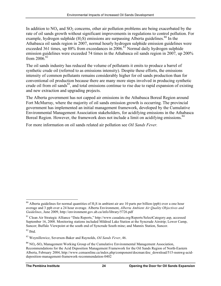In addition to  $NO<sub>x</sub>$  and  $SO<sub>2</sub>$  concerns, other air pollution problems are being exacerbated by the rate of oil sands growth without significant improvements in regulations to control pollution. For example, hydrogen sulphide  $(H_2S)$  emissions are surpassing Alberta guidelines.<sup>80</sup> In the Athabasca oil sands region in 2007, normal hourly hydrogen sulphide emission guidelines were exceeded 361 times, up 88% from exceedances in  $2006$ .<sup>81</sup> Normal daily hydrogen sulphide emission guidelines were exceeded 74 times in the Athabasca oil sands region in 2007, up 200% from  $2006^{82}$ 

The oil sands industry has reduced the volume of pollutants it emits to produce a barrel of synthetic crude oil (referred to as emissions intensity). Despite these efforts, the emissions intensity of common pollutants remains considerably higher for oil sands production than for conventional oil production because there are many more steps involved in producing synthetic crude oil from oil sands<sup>83</sup>, and total emissions continue to rise due to rapid expansion of existing and new extraction and upgrading projects.

The Alberta government has not capped air emissions in the Athabasca Boreal Region around Fort McMurray, where the majority of oil sands emission growth is occurring. The provincial government has implemented an initial management framework, developed by the Cumulative Environmental Management Association stakeholders, for acidifying emissions in the Athabasca Boreal Region. However, the framework does not include a limit on acidifying emissions.<sup>84</sup>

For more information on oil sands related air pollution see *Oil Sands Fever.* 

<sup>&</sup>lt;sup>80</sup> Alberta guidelines for normal quantities of H<sub>2</sub>S in ambient air are 10 parts per billion (ppb) over a one hour average and 3 ppb over a 24 hour average. Alberta Environment, *Alberta Ambient Air Quality Objectives and Guidelines*, June 2009, http://environment.gov.ab.ca/info/library/5726.pdf

<sup>81</sup> Clean Air Strategic Alliance "Data Reports," http://www.casadata.org/Reports/SelectCategory.asp, accessed September 16, 2008. Monitoring stations included Mildred Lake Station at the Syncrude Airstrip; Lower Camp, Suncor; Buffalo Viewpoint at the south end of Syncrude South mine; and Mannix Station, Suncor.

 $82$  Ibid.

<sup>83</sup> Woynillowicz, Severson-Baker and Raynolds, *Oil Sands Fever*, 46.

 $84$  NO<sub>x</sub>-SO<sub>2</sub> Management Working Group of the Cumulative Environmental Management Association, Recommendations for the Acid Deposition Management Framework for the Oil Sands Region of North-Eastern Alberta, February 2004, http://www.cemaonline.ca/index.php/component/docman/doc\_download/515-nsmwg-aciddeposition-management-framework-recommendation-0402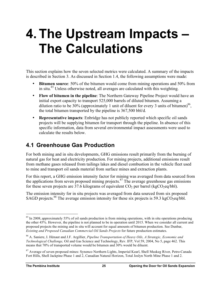## **4. The Upstream Impacts – The Calculations**

This section explains how the seven selected metrics were calculated. A summary of the impacts is described in Section 3. As discussed in Section 1.4, the following assumptions were made:

- **Bitumen source**: 50% of the bitumen would come from mining operations and 50% from in situ.<sup>85</sup> Unless otherwise noted, all averages are calculated with this weighting.
- **Flow of bitumen in the pipeline**: The Northern Gateway Pipeline Project would have an initial export capacity to transport 525,000 barrels of diluted bitumen. Assuming a dilution ratio to be 30% (approximately 1 unit of diluent for every 3 units of bitumen)<sup>86</sup>, the total bitumen transported by the pipeline is 367,500 bbl/d.
- **Representative impacts**: Enbridge has not publicly reported which specific oil sands projects will be supplying bitumen for transport through the pipeline. In absence of this specific information, data from several environmental impact assessments were used to calculate the results below.

## **4.1 Greenhouse Gas Production**

For both mining and in situ developments, GHG emissions result primarily from the burning of natural gas for heat and electricity production. For mining projects, additional emissions result from methane gases released from tailings lakes and diesel combustion in the vehicle fleet used to mine and transport oil sands material from surface mines and extraction plants.

For this report, a GHG emission intensity factor for mining was averaged from data sourced from the applications from seven proposed mining projects. $87$  The average greenhouse gas emissions for these seven projects are 37.6 kilograms of equivalent  $CO<sub>2</sub>$  per barrel (kg $CO<sub>2</sub>$ eq/bbl).

The emission intensity for in situ projects was averaged from data sourced from six proposed SAGD projects.<sup>88</sup> The average emission intensity for these six projects is 59.3 kgCO<sub>2</sub>eq/bbl.

 $85$  In 2008, approximately 55% of oil sands production is from mining operations, with in situ operations producing the other 45%. However, the pipeline is not planned to be in operation until 2015. When we consider all current and proposed projects the mining and in situ will account for equal amounts of bitumen production. See Dunbar, *Existing and Proposed Canadian Commercial Oil Sands Projects* for future production estimates.

<sup>86</sup> A. Saniere, I. Hénaut and J.F. Argillier, *Pipeline Transportation of Heavy Oils, A Strategic, Economic and Technological Challenge,* Oil and Gas Science and Technology, Rev. IFP, Vol 59, 2004, No 5, page 462. This means that 70% of transported volume would be bitumen and 30% would be diluent.

<sup>&</sup>lt;sup>87</sup> Average of seven proposed mines: Synenco Northern Lights, Imperial Kearl, Shell Muskeg River, Petro-Canada Fort Hills, Shell Jackpine Phase 1 and 2, Canadian Natural Horizon, Total Joslyn North Mine Phase 1 and 2.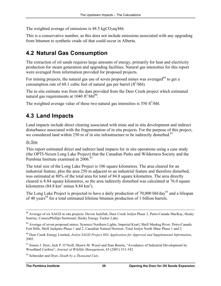The weighted average of emissions is  $48.5 \text{ kgCO}_2$ eq/bbl.

This is a conservative number, as this does not include emissions associated with any upgrading from bitumen to synthetic crude oil that could occur in Alberta.

## **4.2 Natural Gas Consumption**

The extraction of oil sands requires large amounts of energy, primarily for heat and electricity production for steam generation and upgrading facilities. Natural gas intensities for this report were averaged from information provided for proposed projects.

For mining projects, the natural gas use of seven proposed mines was averaged<sup>89</sup> to get a consumption rate of 60.1 cubic feet of natural gas per barrel  $(ft^3/bb)$ .

The in situ estimate was from the data provided from the Deer Creek project which estimated natural gas requirements at 1040  $\text{ft}^3/\text{bb}^{90}$ .

The weighted average value of these two natural gas intensities is 550  $\text{ft}^3/\text{bb}$ .

## **4.3 Land Impacts**

Land impacts include direct clearing associated with mine and in situ development and indirect disturbance associated with the fragmentation of in situ projects. For the purpose of this project, we considered land within 250 m of in situ infrastructure to be indirectly disturbed.<sup>91</sup>

#### *In Situ*

This report estimated direct and indirect land impacts for in situ operations using a case study (the OPTI-Nexen Long Lake Project) that the Canadian Parks and Wilderness Society and the Pembina Institute examined in  $2006^{92}$ 

The total size of the Long Lake Project is 106 square kilometres. The area cleared for an industrial feature, plus the area 250 m adjacent to an industrial feature and therefore disturbed, was estimated at 80% of the total area for total of 84.8 square kilometres. The area directly cleared is 8.84 square kilometres, so the area indirectly disturbed was calculated at 76.0 square kilometres  $(84.8 \text{ km}^2 \text{ minus } 8.84 \text{ km}^2)$ .

The Long Lake Project is projected to have a daily production of 70,000 bbl/day<sup>93</sup> and a lifespan of 40 years<sup>94</sup> for a total estimated lifetime bitumen production of 1 billion barrels.

<sup>92</sup> Schneider and Dyer, *Death by a Thousand Cuts*.

<sup>&</sup>lt;sup>88</sup> Average of six SAGD in situ projects: Devon Jackfish, Deer Creek Joslyn Phase 3, Petro-Canada MacKay, Husky Sunrise, ConocoPhillips Surmount, Husky Energy Tucker Lake.

<sup>&</sup>lt;sup>89</sup> Average of seven proposed mines: Synenco Northern Lights, Imperial Kearl, Shell Muskeg River, Petro-Canada Fort Hills, Shell Jackpine Phase 1 and 2, Canadian Natural Horizon, Total Joslyn North Mine Phase 1 and 2.

<sup>90</sup> Deer Creek Energy Limited, *Joslyn SAGD Project IIIA Application for Approval and Supplemental Information*, 2005.

<sup>&</sup>lt;sup>91</sup> Simon J. Dyer, Jack P. O'Neill, Shawn M. Wasel and Stan Boutin, "Avoidance of Industrial Development by Woodland Caribou", *Journal of Wildlife Management*, 65 (2001) 531-542.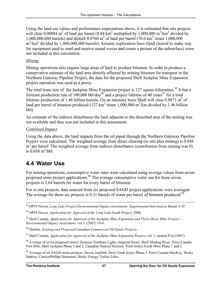Using the land use values and performance expectations above, it is estimated that situ projects will clear 0.00884 m<sup>2</sup> of land per barrel (8.84 km<sup>2</sup> multiplied by 1,000,000 m<sup>2</sup>/km<sup>2</sup> divided by 1,000,000,000 barrels) and disturb  $0.0760 \text{ m}^2$  of land per barrel (76.0 km<sup>2</sup> times 1,000,000  $m^2/km^2$  divided by 1,000,000,000 barrels). Seismic exploration lines (land cleared to make way for equipment used to send and receive sound waves and create a picture of the subsurface) were not included in this calculation.

#### *Mining*

Mining operations also require large areas of land to produce bitumen. In order to produce a conservative estimate of the land area directly affected by mining bitumen for transport in the Northern Gateway Pipeline Project, the data for the proposed Shell Jackpine Mine Expansion project operation was used as a proxy.

The total lease size of the Jackpine Mine Expansion project is 127 square kilometres.<sup>95</sup> It has a forecast production rate of 100,000 bbl/day<sup>96</sup> and a project lifetime of 40 years<sup>97</sup> for a total lifetime production of 1.46 billion barrels. On an intensity basis Shell will clear  $0.0871 \text{ m}^2$  of land per barrel of bitumen produced (127 km<sup>2</sup> times 1,000,000 m<sup>2</sup>/km divided by 1.46 billion bbl).

An estimate of the indirect disturbance the land adjacent to the disturbed area of the mining was not available and thus was not included in this assessment.

#### *Combined Impact*

Using the data above, the land impacts from the oil piped through the Northern Gateway Pipeline Project were calculated. The weighted average from direct clearing (in situ plus mining) is 0.048 m<sup>2</sup> per barrel. The weighted average from indirect disturbance (contribution from mining was 0) is  $0.038 \text{ m}^2/\text{bb}$ .

## **4.4 Water Use**

For mining operations, consumptive water rates were calculated using average values from seven proposed mine project applications.<sup>98</sup> The average consumptive water use for these seven projects is 2.64 barrels for water for every barrel of bitumen.

For in situ projects, data sourced from six proposed SAGD project applications were averaged. The average for these six projects is 0.31 barrels of water per barrel of bitumen produced.<sup>99</sup>

 <sup>93</sup> OPTI-Nexen, *Long Lake Project Environmental Impact Assessment: Supplemental Information Binder I–IV*.

<sup>94</sup> OPTI-Nexen, *Application for Approval of the Long Lake South Project*, 2006.

<sup>95</sup> Shell Canada, *Application for Approval of the Jackpine Mine Expansion and Pierre River Mine Project — Environmental Impact Assessment,* vol 1. (2007) 19-6.

<sup>96</sup> Dunbar, *Existing and Proposed Canadian Commercial Oil Sands Projects*.

<sup>97</sup> Shell Canada, *Application for Approval of the Jackpine Mine Expansion Project*, vol. 1, section P.iii (2007)

<sup>98</sup> Average of seven proposed mines: Synenco Northern Lights, Imperial Kearl, Shell Muskeg River, Petro-Canada Fort Hills, Shell Jackpine Phase 1 and 2, Canadian Natural Horizon, Total Joslyn North Mine Phase 1 and 2.

<sup>99</sup> Average of six SAGD insitu projects: Devon Jackfish, Deer Creek Joslyn Phase 3, Petro-Canada MacKay, Husky Sunrise, ConocoPhillips Surmount, Husky Energy Tucker Lake.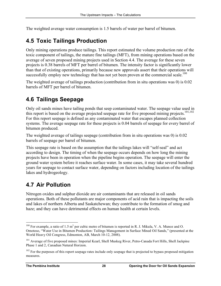The weighted average water consumption is 1.5 barrels of water per barrel of bitumen.

### **4.5 Toxic Tailings Production**

Only mining operations produce tailings. This report estimated the volume production rate of the toxic component of tailings, the mature fine tailings (MFT), from mining operations based on the average of seven proposed mining projects used in Section 4.4. The average for these seven projects is 0.38 barrels of MFT per barrel of bitumen. The intensity factor is significantly lower than that of existing operations, primarily because new approvals assert that their operations will successfully employ new technology that has not yet been proven at the commercial scale.<sup>100</sup>

The weighted average of tailings production (contribution from in situ operations was 0) is 0.02 barrels of MFT per barrel of bitumen.

### **4.6 Tailings Seepage**

Only oil sands mines have tailing ponds that seep contaminated water. The seepage value used in this report is based on the average projected seepage rate for five proposed mining projects.<sup>101,102</sup> For this report seepage is defined as any contaminated water that escapes planned collection systems. The average seepage rate for these projects is 0.04 barrels of seepage for every barrel of bitumen produced.

The weighted average of tailings seepage (contribution from in situ operations was 0) is 0.02 barrels of seepage per barrel of bitumen.

This seepage rate is based on the assumption that the tailings lakes will "self-seal" and act according to design. The timing of when the seepage occurs depends on how long the mining projects have been in operation when the pipeline begins operation. The seepage will enter the ground water system before it reaches surface water. In some cases, it may take several hundred years for seepage to contact surface water, depending on factors including location of the tailings lakes and hydrogeology.

## **4.7 Air Pollution**

Nitrogen oxides and sulphur dioxide are air contaminants that are released in oil sands operations. Both of these pollutants are major components of acid rain that is impacting the soils and lakes of northern Alberta and Saskatchewan; they contribute to the formation of smog and haze; and they can have detrimental effects on human health at certain levels.

<sup>&</sup>lt;sup>100</sup> For example, a ratio of 1.5 m<sup>3</sup> per cubic metre of bitumen is reported in R. J. Mikula, V. A. Munoz and O. Omotoso, "Water Use in Bitumen Production: Tailings Management in Surface Mined Oil Sands," (presented at the World Heavy Oil Congress, Edmonton, AB, March 10-12, 2008).

<sup>&</sup>lt;sup>101</sup> Average of five proposed mines: Imperial Kearl, Shell Muskeg River, Petro-Canada Fort Hills, Shell Jackpine Phase 1 and 2, Canadian Natural Horizon.

<sup>&</sup>lt;sup>102</sup> For the purposes of this report seepage rates include only seepage that is projected to bypass proposed mitigation measures.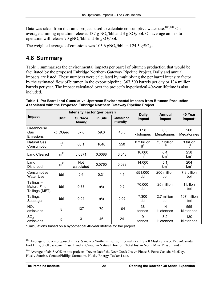Data was taken from the same projects used to calculate consumptive water use.<sup>103,104</sup> On average a mining operation releases 137 g  $NO<sub>x</sub>/bbl$  and 3 g  $SO<sub>2</sub>/bbl$ . On average an in situ operation will release 70 gNO<sub>x</sub>/bbl and 46 gSO<sub>2</sub>/bbl.

The weighted average of emissions was  $103.6$  gNO<sub>x</sub>/bbl and  $24.5$  g/SO<sub>2</sub>..

## **4.8 Summary**

Table 1 summarizes the environmental impacts per barrel of bitumen production that would be facilitated by the proposed Enbridge Northern Gateway Pipeline Project. Daily and annual impacts are listed. These numbers were calculated by multiplying the per barrel intensity factor by the estimated flow of bitumen in the export pipeline: 367,500 barrels per day or 134 million barrels per year. The impact calculated over the project's hypothetical 40-year lifetime is also included.

|                                                    | <b>Intensity Factor (per barrel)</b> |                                 |         |                                     | <b>Daily</b>                   | Annual                          | 40 Year                       |
|----------------------------------------------------|--------------------------------------|---------------------------------|---------|-------------------------------------|--------------------------------|---------------------------------|-------------------------------|
| Impact                                             | <b>Unit</b>                          | <b>Surface</b><br><b>Mining</b> | In Situ | <b>Combined</b><br><b>Intensity</b> | Impact                         | Impact                          | Impact*                       |
| Greenhouse<br>Gas<br>Emissions                     | kg CO <sub>2</sub> eq                | 37.6                            | 59.3    | 48.5                                | 17.8<br>kilotonnes             | 6.5<br>Megatonnes               | 260<br>Megatonnes             |
| <b>Natural Gas</b><br>Consumption                  | ft <sup>3</sup>                      | 60.1                            | 1040    | 550                                 | 0.2 billion<br>ft <sup>3</sup> | 73.7 billion<br>ft <sup>3</sup> | 3 trillion<br>ft <sup>3</sup> |
| <b>Land Cleared</b>                                | m <sup>2</sup>                       | 0.0871                          | 0.0088  | 0.048                               | 18,000<br>m <sup>2</sup>       | 6.4<br>km <sup>2</sup>          | 258<br>km <sup>2</sup>        |
| Land<br>Disturbed                                  | m <sup>2</sup>                       | <b>Not</b><br>calculated        | 0.0760  | 0.038                               | 14,000<br>m <sup>2</sup>       | 5.1<br>km <sup>2</sup>          | 204<br>km <sup>2</sup>        |
| Consumptive<br>Water Use                           | bbl                                  | 2.6                             | 0.31    | 1.5                                 | 551,000<br>bbl                 | 200 million<br>bbl              | 7.9 billion<br>bbl            |
| Tailings –<br><b>Mature Fine</b><br>Tailings (MFT) | bbl                                  | 0.38                            | n/a     | 0.2                                 | 70,000<br>bbl                  | 25 million<br>bbl               | 1 billon<br>bbl               |
| Tailings<br>Seepage                                | bbl                                  | 0.04                            | n/a     | 0.02                                | 7,300<br>bbl                   | 2.7 million<br>bbl              | 107 million<br>bbl            |
| NO <sub>x</sub><br>emissions                       | g                                    | 137                             | 70      | 104                                 | 38<br>tonnes                   | 14<br>kilotonnes                | 555<br>kilotonnes             |
| SO <sub>2</sub><br>emissions                       | g                                    | 3                               | 46      | 24                                  | 9<br>tonnes                    | 3.2<br>kilotonnes               | 130<br>kilotonnes             |

| Table 1. Per Barrel and Cumulative Upstream Environmental Impacts from Bitumen Production |
|-------------------------------------------------------------------------------------------|
| Associated with the Proposed Enbridge Northern Gateway Pipeline Project                   |

\*Calculations based on a hypothetical 40-year lifetime for the project.

<sup>&</sup>lt;sup>103</sup> Average of seven proposed mines: Synenco Northern Lights, Imperial Kearl, Shell Muskeg River, Petro-Canada Fort Hills, Shell Jackpine Phase 1 and 2, Canadian Natural Horizon, Total Joslyn North Mine Phase 1 and 2.

<sup>&</sup>lt;sup>104</sup> Average of six SAGD in situ projects: Devon Jackfish, Deer Creek Joslyn Phase 3, Petro-Canada MacKay, Husky Sunrise, ConocoPhillips Surmount, Husky Energy Tucker Lake.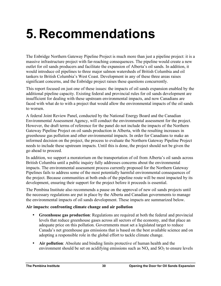# **5. Recommendations**

The Enbridge Northern Gateway Pipeline Project is much more than just a pipeline project: it is a massive infrastructure project with far-reaching consequences. The pipeline would create a new outlet for oil sands producers and facilitate the expansion of Alberta's oil sands. In addition, it would introduce oil pipelines to three major salmon watersheds of British Columbia and oil tankers to British Columbia's West Coast. Development in any of these three areas raises significant concerns, and the Enbridge project raises these questions concurrently.

This report focused on just one of these issues: the impacts of oil sands expansion enabled by the additional pipeline capacity. Existing federal and provincial rules for oil sands development are insufficient for dealing with these upstream environmental impacts, and now Canadians are faced with what do to with a project that would allow the environmental impacts of the oil sands to worsen.

A federal Joint Review Panel, conducted by the National Energy Board and the Canadian Environmental Assessment Agency, will conduct the environmental assessment for the project. However, the draft terms of reference for the panel do not include the impacts of the Northern Gateway Pipeline Project on oil sands production in Alberta, with the resulting increases in greenhouse gas pollution and other environmental impacts. In order for Canadians to make an informed decision on the project, the process to evaluate the Northern Gateway Pipeline Project needs to include these upstream impacts. Until this is done, the project should not be given the go ahead to proceed.

In addition, we support a moratorium on the transportation of oil from Alberta's oil sands across British Columbia until a public inquiry fully addresses concerns about the environmental impacts. The environmental assessment process currently proposed for the Northern Gateway Pipelines fails to address some of the most potentially harmful environmental consequences of the project. Because communities at both ends of the pipeline route will be most impacted by its development, ensuring their support for the project before it proceeds is essential.

The Pembina Institute also recommends a pause on the approval of new oil sands projects until the necessary regulations are put in place by the Alberta and Canadian governments to manage the environmental impacts of oil sands development. These impacts are summarized below.

#### **Air impacts: confronting climate change and air pollution**

- **Greenhouse gas production**: Regulations are required at both the federal and provincial levels that reduce greenhouse gases across all sectors of the economy, and that place an adequate price on this pollution. Governments must set a legislated target to reduce Canada's net greenhouse gas emissions that is based on the best available science and on adopting a responsible role in the global effort to tackle climate change.
- **Air pollution**: Absolute and binding limits protective of human health and the environment should be set on acidifying emissions such as  $NO<sub>x</sub>$  and  $SO<sub>2</sub>$  to ensure levels